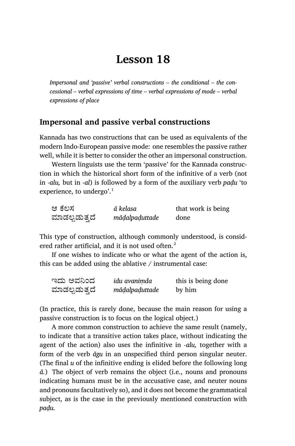# **Lesson 18**

*Impersonal and 'passive' verbal constructions – the conditional – the concessional – verbal expressions of time – verbal expressions of mode – verbal expressions of place*

### **Impersonal and passive verbal constructions**

Kannada has two constructions that can be used as equivalents of the modern Indo-European passive mode: one resembles the passive rather well, while it is better to consider the other an impersonal construction.

Western linguists use the term 'passive' for the Kannada construction in which the historical short form of the infinitive of a verb (not in *-alu,* but in *-al*) is followed by a form of the auxiliary verb *paḍu* 'to experience, to undergo'. $<sup>1</sup>$ </sup>

| ಆ ಕೆಲಸ        | ā kelasa       | that work is being |
|---------------|----------------|--------------------|
| ಮಾಡಲ್ಪಡುತ್ತದೆ | māḍalpaḍuttade | done               |

This type of construction, although commonly understood, is considered rather artificial, and it is not used often. $2$ 

If one wishes to indicate who or what the agent of the action is, this can be added using the ablative / instrumental case:

| ಇದು ಅವನಿಂದ    | idu avanimda   | this is being done |
|---------------|----------------|--------------------|
| ಮಾಡಲ್ಪಡುತ್ತದೆ | māḍalpaḍuttade | by him             |

(In practice, this is rarely done, because the main reason for using a passive construction is to focus on the logical object.)

A more common construction to achieve the same result (namely, to indicate that a transitive action takes place, without indicating the agent of the action) also uses the infinitive in *-alu,* together with a form of the verb *āgu* in an unspecified third person singular neuter. (The final *u* of the infinitive ending is elided before the following long *ā.*) The object of verb remains the object (i.e., nouns and pronouns indicating humans must be in the accusative case, and neuter nouns and pronouns facultatively so), and it does not become the grammatical subject, as is the case in the previously mentioned construction with *paḍu.*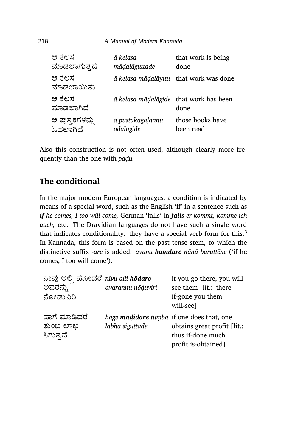| ಆ ಕೆಲಸ              | ā kelasa                               | that work is being |
|---------------------|----------------------------------------|--------------------|
| ಮಾಡಲಾಗುತ್ತದೆ        | māḍalāguttade                          | done               |
| ಆ ಕೆಲಸ<br>ಮಾಡಲಾಯಿತು | ā kelasa mādalāyitu that work was done |                    |
| ಆ ಕೆಲಸ<br>ಮಾಡಲಾಗಿದೆ | ā kelasa mādalāgide that work has been | done               |
| ಆ ಪುಸ್ತಕಗಳನ್ನು      | ā pustakagalannu                       | those books have   |
| ಓದಲಾಗಿದೆ            | <b>ōdalāgide</b>                       | been read          |

Also this construction is not often used, although clearly more frequently than the one with *paḍu.*

# **The conditional**

In the major modern European languages, a condition is indicated by means of a special word, such as the English 'if' in a sentence such as *if he comes, I too will come,* German 'falls' in *falls er kommt, komme ich auch,* etc. The Dravidian languages do not have such a single word that indicates conditionality: they have a special verb form for this. $3$ In Kannada, this form is based on the past tense stem, to which the distinctive suffix *-are* is added: *avanu baṃdare nānū baruttēne* ('if he comes, I too will come').

| ನೀವು ಅಲ್ಲಿ ಹೋದರೆ nivu alli hodare<br>ಅವರನ್ನು<br>ನೋಡುವಿರಿ | avarannu nōduviri                                            | if you go there, you will<br>see them [lit.: there<br>if-gone you them<br>will-see] |
|----------------------------------------------------------|--------------------------------------------------------------|-------------------------------------------------------------------------------------|
| ಹಾಗೆ ಮಾಡಿದರೆ<br>ತುಂಬ ಲಾಭ<br>ಸಿಗುತ್ತದೆ                    | hāge mādidare tumba if one does that, one<br>lābha siguttade | obtains great profit [lit.:<br>thus if-done much<br>profit is-obtained]             |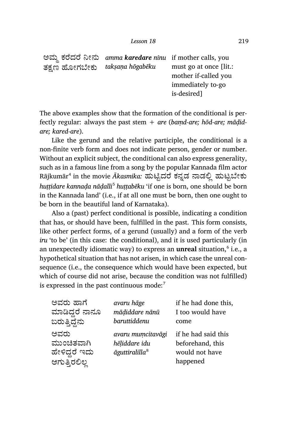ಅಮ್ಮ ಕರೆದರೆ ನೀನು ತಕ್ಷಣ ಹೋಗಬೇಕು *amma karedare nīnu* if mother calls, you *takṣaṇa hōgabēku* must go at once [lit.: mother if-called you immediately to-go is-desired]

The above examples show that the formation of the conditional is perfectly regular: always the past stem + *are* (*baṃd-are; hōd-are; māḍidare; kared-are*).

Like the gerund and the relative participle, the conditional is a non-finite verb form and does not indicate person, gender or number. Without an explicit subject, the conditional can also express generality, such as in a famous line from a song by the popular Kannada film actor Rājkumār<sup>4</sup> in the movie *Akasmika*: ಹುಟ್ಟಿದರೆ ಕನ್ನಡ ನಾಡಲ್ಲಿ ಹುಟ್ಟಬೇಕು *huṭṭidare kannaḍa nāḍalli<sup>5</sup> huṭṭabēku* 'if one is born, one should be born in the Kannada land' (i.e., if at all one must be born, then one ought to be born in the beautiful land of Karnataka).

Also a (past) perfect conditional is possible, indicating a condition that has, or should have been, fulfilled in the past. This form consists, like other perfect forms, of a gerund (usually) and a form of the verb *iru* 'to be' (in this case: the conditional), and it is used particularly (in an unexpectedly idiomatic way) to express an **unreal** situation,<sup>6</sup> i.e., a hypothetical situation that has not arisen, in which case the unreal consequence (i.e., the consequence which would have been expected, but which of course did not arise, because the condition was not fulfilled) is expressed in the past continuous mode:<sup>7</sup>

| ಅವರು ಹಾಗೆ      | avaru hāge                 | if he had done this, |
|----------------|----------------------------|----------------------|
| ಮಾಡಿದ್ದರೆ ನಾನೂ | mādiddare nānū             | I too would have     |
| ಬರುತ್ತಿದ್ದೆನು  | baruttiddenu               | come                 |
| ಅವರು           | avaru mumcitavāgi          | if he had said this  |
| ಮುಂಚಿತವಾಗಿ     | hēliddare idu              | beforehand, this     |
| ಹೇಳಿದ್ದರೆ ಇದು  | āguttiralilla <sup>8</sup> | would not have       |
| ಆಗುತ್ತಿರಲಿಲ್ಲ  |                            | happened             |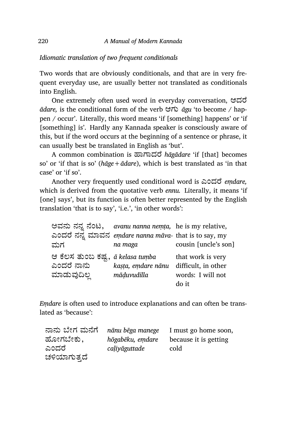### *Idiomatic translation of two frequent conditionals*

Two words that are obviously conditionals, and that are in very frequent everyday use, are usually better not translated as conditionals into English.

One extremely often used word in everyday conversation, ಆದೆ *ādare,* is the conditional form of the verb ಆಗು *āgu* 'to become / happen / occur'. Literally, this word means 'if [something] happens' or 'if [something] is'. Hardly any Kannada speaker is consciously aware of this, but if the word occurs at the beginning of a sentence or phrase, it can usually best be translated in English as 'but'.

A com mon combination is ¢ಾಾದೆ *hāgādare* 'if [that] becomes so' or 'if that is so' (*hāge+ādare*), which is best translated as 'in that case' or 'if so'.

Another very frequently used conditional word is ಎಂದೆ *eṃdare,* which is derived from the quotative verb *ennu.* Literally, it means 'if [one] says', but its function is often better represented by the English translation 'that is to say', 'i.e.', 'in other words':

|                                  | ಅವನು ನನ್ನ ನೆಂಟ, avanu nanna nemia, he is my relative, |                      |
|----------------------------------|-------------------------------------------------------|----------------------|
|                                  | ಎಂದರೆ ನನ್ನ ಮಾವನ emdare nanna mava- that is to say, my |                      |
| ಮಗ                               | na maga                                               | cousin [uncle's son] |
| ಆ ಕೆಲಸ ತುಂಬ ಕಷ್ಟ, a kelasa tumba |                                                       | that work is very    |
| ಎಂದರೆ ನಾನು                       | kasta, emdare nānu                                    | difficult, in other  |
| ಮಾಡುವುದಿಲ್ಲ                      | māduvudilla                                           | words: I will not    |
|                                  |                                                       | do it                |

*Eṃdare* is often used to introduce explanations and can often be translated as 'because':

| ನಾನು ಬೇಗ ಮನೆಗೆ | nānu bēga manege | I must go home soon,  |
|----------------|------------------|-----------------------|
| ಹೋಗಬೇಕು,       | hōgabēku, emdare | because it is getting |
| ಎಂದರೆ          | caliyāguttade    | cold                  |
| ಚಳಿಯಾಗುತ್ತದೆ   |                  |                       |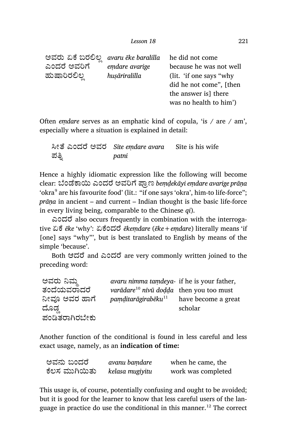| ಅವರು ಏಕೆ ಬರಲಿಲ | avaru ēke baralilla | he did not come           |
|----------------|---------------------|---------------------------|
| ಎಂದರೆ ಅವರಿಗೆ   | emdare avarige      | because he was not well   |
| ಹುಷಾರಿರಲಿಲ್ಲ   | husāriralilla       | (lit. 'if one says "why") |
|                |                     | did he not come", [then   |
|                |                     | the answer is there       |
|                |                     | was no health to him')    |
|                |                     |                           |

Often *eṃdare* serves as an emphatic kind of copula, 'is / are / am', especially where a situation is explained in detail:

Įೕೆ ಎಂದೆ ಅವರ *Sīte eṃdare avara* Sīte is his wife ಪತ್ನಿ *patni*

Hence a highly idiomatic expression like the following will become clear: ೆಂೆಾĥ ಎಂದೆ ಅವĨೆ ಾ¾ಣ *beṃḍekāyi eṃdare avarige prāṇa* 'okra $^{\rm 9}$  are his favourite food' (lit.: "if one says 'okra', him-to life-force"; *prāṇa* in ancient – and current – Indian thought is the basic life-force in every living being, comparable to the Chinese *qi*).

ಎಂದೆ also occurs frequently in combination with the interrogative ಏೆ *ēke* 'why': ಏೆಂದೆ *ēkeṃdare* (*ēke+eṃdare*) literally means 'if [one] says "why"', but is best translated to English by means of the simple 'because'.

Both ಆದರೆ and ಎಂದರೆ are very commonly written joined to the preceding word:

| ಅವರು ನಿಮ್ಮ     | avaru nimma tamdeya- if he is your father,          |                     |
|----------------|-----------------------------------------------------|---------------------|
| ತಂದೆಯವರಾದರೆ    | varādare <sup>10</sup> nīvū dodda then you too must |                     |
| ನೀವೂ ಅವರ ಹಾಗೆ  | $p$ amditarāgirabēku $^{11}$                        | have become a great |
| ದೊಡ್           |                                                     | scholar             |
| ಪಂಡಿತರಾಗಿರಬೇಕು |                                                     |                     |

Another function of the conditional is found in less careful and less exact usage, namely, as an **indication of time:**

| ಅವನು ಬಂದರೆ    | avanu bamdare   | when he came, the  |
|---------------|-----------------|--------------------|
| ಕೆಲಸ ಮುಗಿಯಿತು | kelasa mugiyitu | work was completed |

This usage is, of course, potentially confusing and ought to be avoided; but it is good for the learner to know that less careful users of the language in practice do use the conditional in this manner.<sup>12</sup> The correct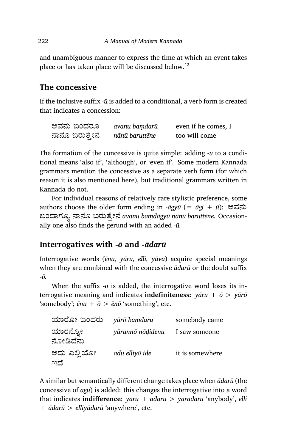and unambiguous manner to express the time at which an event takes place or has taken place will be discussed below.<sup>13</sup>

# **The concessive**

If the inclusive suffix *-ū* is added to a conditional, a verb form is created that indicates a concession:

| ಅವನು ಬಂದರೂ     | avanu bamdarū  | even if he comes, I |
|----------------|----------------|---------------------|
| ನಾನೂ ಬರುತ್ತೇನೆ | nānū baruttēne | too will come       |

The formation of the concessive is quite simple: adding *-ū* to a conditional means 'also if', 'although', or 'even if'. Some modern Kannada grammars mention the concessive as a separate verb form (for which reason it is also mentioned here), but traditional grammars written in Kannada do not.

For individual reasons of relatively rare stylistic preference, some authors choose the older form ending in *‑āgyū* (= *āgi + ū*): ಅವನು  $20$ ಂದಾಗ್ಯೂ ನಾನೂ ಬರುತ್ತೇನೆ avanu bamdagyū nānū baruttēne. Occasionally one also finds the gerund with an added *‑ū.*

# **Interrogatives with** *‑ō* **and** *‑ādarū*

Interrogative words (*ēnu, yāru, elli, yāva*) acquire special meanings when they are combined with the concessive *ādarū* or the doubt suffix ‑*ō.*

When the suffix  $-\bar{o}$  is added, the interrogative word loses its interrogative meaning and indicates **indefiniteness:** *yāru + ō > yārō* 'somebody';  $\bar{e}nu + \bar{o} > \bar{e}n\bar{o}$  'something', etc.

| ಯಾರೋ ಬಂದರು          | yārō bamdaru     | somebody came   |
|---------------------|------------------|-----------------|
| ಯಾರನ್ನೋ<br>ನೋಡಿದೆನು | yārannō nōḍidenu | I saw someone   |
| ಅದು ಎಲ್ಲಿಯೋ<br>ಇದೆ  | adu elliyō ide   | it is somewhere |

A similar but semantically different change takes place when *ādarū* (the concessive of *āgu*) is added: this changes the interrogative into a word that indicates **indifference**: *yāru + ādarū > yārādarū* 'anybody', *elli + ādarū > elliyādarū* 'anywhere', etc.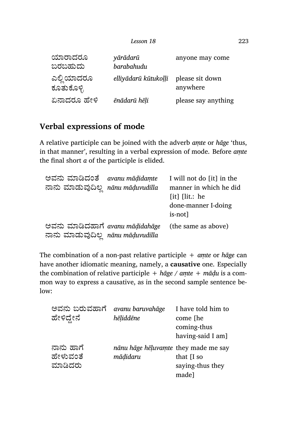| ಯಾರಾದರೂ<br>ಬರಬಹುದು       | yārādarū<br>barabahudu | anyone may come             |
|--------------------------|------------------------|-----------------------------|
| ಎಲ್ಲಿಯಾದರೂ<br>ಕೂತುಕೊಳ್ಳಿ | elliyādarū kūtukoļļi   | please sit down<br>anywhere |
| ಏನಾದರೂ ಹೇಳಿ              | ēnādarū hēli           | please say anything         |

# **Verbal expressions of mode**

A relative participle can be joined with the adverb *aṃte* or *hāge* 'thus, in that manner', resulting in a verbal expression of mode. Before *aṃte* the final short *a* of the participle is elided.

| ಅವನು ಮಾಡಿದಂತೆ avanu māḍidamte<br>ನಾನು ಮಾಡುವುದಿಲ್ಲ nānu māḍuvudilla   | I will not do [it] in the<br>manner in which he did<br>$[it]$ $[lit.:$ he<br>done-manner I-doing<br>is-not] |
|----------------------------------------------------------------------|-------------------------------------------------------------------------------------------------------------|
| ಅವನು ಮಾಡಿದಹಾಗೆ avanu mādidahāge<br>ನಾನು ಮಾಡುವುದಿಲ್ಲ nānu māḍuvudilla | (the same as above)                                                                                         |

The combination of a non-past relative participle + *aṃte* or *hāge* can have an other idiomatic meaning, namely, a **causative** one. Especially the combination of relative participle + *hāge* / *aṃte* + *māḍu* is a common way to express a causative, as in the second sample sentence below:

| ಅವನು ಬರುವಹಾಗೆ<br>ಹೇಳಿದ್ದೇನೆ      | avanu baruvahāge<br>hēliddēne                    | I have told him to<br>come [he<br>coming-thus<br>having-said I am] |
|----------------------------------|--------------------------------------------------|--------------------------------------------------------------------|
| ನಾನು ಹಾಗೆ<br>ಹೇಳುವಂತೆ<br>ಮಾಡಿದರು | nānu hāge hēļuvamte they made me say<br>mādidaru | that $\overline{I}$ so<br>saying-thus they<br>made]                |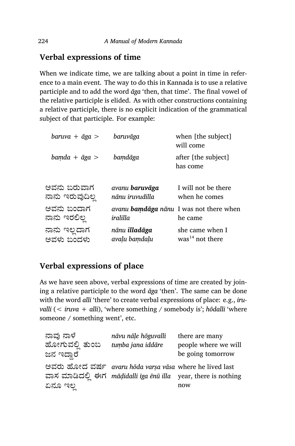# **Verbal expressions of time**

When we indicate time, we are talking about a point in time in reference to a main event. The way to do this in Kannada is to use a relative participle and to add the word *āga* 'then, that time'. The final vowel of the relative participle is elided. As with other constructions containing a relative participle, there is no explicit indication of the grammatical subject of that participle. For example:

| $baru$ va + $\bar{a}$ ga >     | baruvāga                                 | when [the subject]<br>will come                           |
|--------------------------------|------------------------------------------|-----------------------------------------------------------|
| $bamda + \bar{a}ga >$          | bamdāga                                  | after [the subject]<br>has come                           |
| ಅವನು ಬರುವಾಗ<br>ನಾನು ಇರುವುದಿಲ್ಲ | avanu <b>baruvāga</b><br>nānu iruvudilla | I will not be there<br>when he comes                      |
| ಅವನು ಬಂದಾಗ<br>ನಾನು ಇರಲಿಲ್ಲ     | iralilla                                 | avanu <b>bamdāga</b> nānu I was not there when<br>he came |
| ನಾನು ಇಲ್ಲದಾಗ<br>ಅವಳು ಬಂದಳು     | nānu illadāga<br>avalu bamdalu           | she came when I<br>was <sup>14</sup> not there            |

# **Verbal expressions of place**

As we have seen above, verbal expressions of time are created by joining a relative participle to the word *āga* 'then'. The same can be done with the word *alli* 'there' to create verbal expressions of place: e.g., *iruvalli* (< *iruva* + *alli*), 'where something / somebody is'; *hōdalli* 'where someone / something went', etc.

| ನಾವು ನಾಳೆ      | nāvu nāļe hōguvalli                                            | there are many       |
|----------------|----------------------------------------------------------------|----------------------|
| ಹೋಗುವಲ್ಲಿ ತುಂಬ | tumba jana iddāre                                              | people where we will |
| ಜನ ಇದ್ದಾರೆ     |                                                                | be going tomorrow    |
|                | ಅವರು ಹೋದ ವರ್ಷ avaru hoda varsa vasa where he lived last        |                      |
|                | ವಾಸ ಮಾಡಿದಲ್ಲಿ ಈಗ mādidalli iga ēnū illa year, there is nothing |                      |
| ಏನೂ ಇಲ         |                                                                | now                  |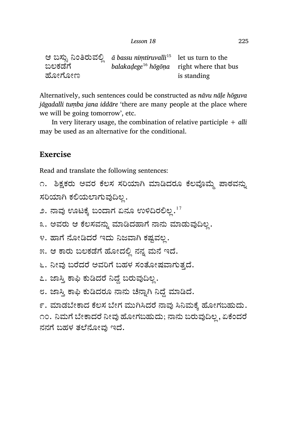| Lesson 18 | 225 |
|-----------|-----|
|           |     |

|         | ಆ ಬಸ್ಸು ನಿಂತಿರುವಲ್ಲಿ a bassu nimtiruvalli <sup>15</sup> let us turn to the |             |
|---------|----------------------------------------------------------------------------|-------------|
| ಬಲಕಡೆಗೆ | balakadege <sup>16</sup> hogona right where that bus                       |             |
| ಹೋಗೋಣ   |                                                                            | is standing |

Alternatively, such sentences could be constructed as *nāvu nāḷe hōguva jāgadalli tuṃba jana iddāre* 'there are many people at the place where we will be going tomorrow', etc.

In very literary usage, the combination of relative participle + *alli* may be used as an alternative for the conditional.

### **Exercise**

Read and translate the following sentences:

```
೧. ಶಿಕ್ಷಕರು ಅವರ ಕೆಲಸ ಸರಿಯಾಗಿ ಮಾಡಿದರೂ ಕೆಲವೊಮ್ಮೆ ಪಾಠವನ್ನು
ಸರಿಯಾಗಿ ಕಲಿಯಲಾಗುವುದಿಲ್ಲ.
```
೨. ನಾವು ಊಟಕ್ಕೆ ಬಂದಾಗ ಏನೂ ಉಳಿದಿರಲಿಲ್ಲ. $^{17}$ 

```
೩. ಅವರು ಆ ಕೆಲಸವನ್ನು ಮಾಡಿದಹಾಗೆ ನಾನು ಮಾಡುವುದಿಲ್ಲ.
```
- ೪. ಹಾಗೆ ನೋಡಿದರೆ ಇದು ನಿಜವಾಗಿ ಕಷ್ಟವಲ್ಲ.
- ೫. ಆ ಕಾರು ಬಲಕಡೆಗೆ ಹೋದಲ್ಲಿ ನನ್ನ ಮನೆ ಇದೆ.
- ೬. ನೀವು ಬರೆದರೆ ಅವರಿಗೆ ಬಹಳ ಸಂತೋಷವಾಗುತ್ತದೆ.
- ೭. ಜಾಸ್ತಿ ಕಾಫಿ ಕುಡಿದರೆ ನಿದ್ದೆ ಬರುವುದಿಲ್ಲ.
- ೮. ಜಾಸ್ತಿ ಕಾಫಿ ಕುಡಿದರೂ ನಾನು ಚೆನ್ನಾಗಿ ನಿದ್ದೆ ಮಾಡಿದೆ.

೯. ಮಾಡಬೇಕಾದ ಕೆಲಸ ಬೇಗ ಮುಗಿಸಿದರೆ ನಾವು ಸಿನಿಮಕ್ಕೆ ಹೋಗಬಹುದು. ೧೦. ನಿಮಗೆ ಬೇಕಾದರೆ ನೀವು ಹೋಗಬಹುದು; ನಾನು ಬರುವುದಿಲ್ಲ , ಏಕೆಂದರೆ ನನಗೆ ಬಹಳ ತಲೆನೋವು ಇದೆ.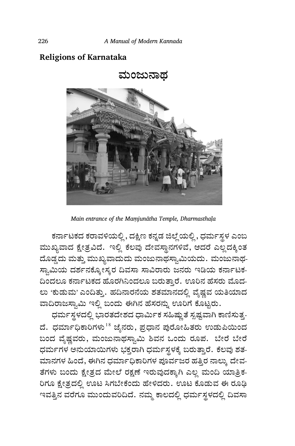### **Religions of Karnataka**



*Main entrance of the Maṃjunātha Temple, Dharmasthaḷa*

ಕರ್ನಾಟಕದ ಕರಾವಳಿಯಲ್ಲಿ, ದಕ್ಷಿಣ ಕನ್ನಡ ಜಿಲ್ಲೆ ಯಲ್ಲಿ, ಧರ್ಮಸ್ಥಳ ಎಂಬ ಮುಖ್ಯವಾದ ಕ್ಷೇತ್ರವಿದೆ. ಇಲ್ಲಿ ಕೆಲವು ದೇವಸ್ಥಾನಗಳಿವೆ, ಆದರೆ ಎಲ್ಲದಕ್ಕಿಂತ ದೊಡ್ಡದು ಮತ್ತು ಮುಖ್ಯವಾದುದು ಮಂಜುನಾಥಸ್ವಾಮಿಯದು. ಮಂಜುನಾಥ-ಸ್ವಾಮಿಯ ದರ್ಶನಕ್ಕೋಸ್ಕರ ದಿವಸಾ ಸಾವಿರಾರು ಜನರು ಇಡಿಯ ಕರ್ನಾಟಕ-ದಿಂದಲೂ ಕರ್ನಾಟಕದ ಹೊರಗಿನಿಂದಲೂ ಬರುತ್ತಾರೆ. ಊರಿನ ಹೆಸರು ಮೊದ-ಲು 'ಕುಡುಮ' ಎಂದಿತ್ತು. ಹದಿನಾರನೆಯ ಶತಮಾನದಲ್ಲಿ ವೈಷ್ಣವ ಯತಿಯಾದ ವಾದಿರಾಜಸ್ವಾಮಿ ಇಲ್ಲಿ ಬಂದು ಈಗಿನ ಹೆಸರನ್ನು ಊರಿಗೆ ಕೊಟ್ಟರು.

ಧರ್ಮಸ್ಥಳದಲ್ಲಿ ಭಾರತದೇಶದ ಧಾರ್ಮಿಕ ಸಹಿಷ್ಣುತೆ ಸ್ಪಷ್ಟವಾಗಿ ಕಾಣಿಸುತ್ತ-ದೆ. ಧರ್ಮಾಧಿಕಾರಿಗಳು<sup>18</sup> ಜೈನರು, ಪ್ರಧಾನ ಪುರೋಹಿತರು ಉಡುಪಿಯಿಂದ ಬಂದ ವೈಷ್ಣವರು, ಮಂಜುನಾಥಸ್ವಾಮಿ ಶಿವನ ಒಂದು ರೂಪ. ಬೇರೆ ಬೇರೆ ಧರ್ಮಗಳ ಅನುಯಾಯಿಗಳು ಭಕ್ತರಾಗಿ ಧರ್ಮಸ್ಥಳಕ್ಕೆ ಬರುತ್ತಾರೆ. ಕೆಲವು ಶತ-ಮಾನಗಳ ಹಿಂದೆ, ಈಗಿನ ಧರ್ಮಾಧಿಕಾರಿಗಳ ಪೂರ್ವಜರ ಹತ್ತಿರ ನಾಲ್ಕು ದೇವ-ತೆಗಳು ಬಂದು ಕ್ಷೇತ್ರದ ಮೇಲೆ ರಕ್ಷಣೆ ಇರುವುದಕ್ಕಾಗಿ ಎಲ್ಲ ಮಂದಿ ಯಾತ್ರಿಕ-ರಿಗೂ ಕ್ಷೇತ್ರದಲ್ಲಿ ಊಟ ಸಿಗಬೇಕೆಂದು ಹೇಳಿದರು. ಊಟ ಕೊಡುವ ಈ ರೂಢಿ ಇವತ್ತಿನ ವರೆಗೂ ಮುಂದುವರಿದಿದೆ. ನಮ್ಮ ಕಾಲದಲ್ಲಿ ಧರ್ಮಸ್ಥಳದಲ್ಲಿ ದಿವಸಾ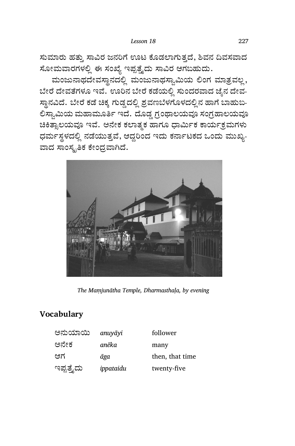ಸುಮಾರು ಹತ್ತು ಸಾವಿರ ಜನರಿಗೆ ಊಟ ಕೊಡಲಾಗುತ್ತದೆ, ಶಿವನ ದಿವಸವಾದ ಸೋಮವಾರಗಳಲ್ಲಿ ಈ ಸಂಖ್ಯೆ ಇಪ್ಪತ್ತೈದು ಸಾವಿರ ಆಗಬಹುದು.

ಮಂಜುನಾಥದೇವಸ್ಥಾನದಲ್ಲಿ ಮಂಜುನಾಥಸ್ವಾಮಿಯ ಲಿಂಗ ಮಾತ್ರವಲ್ಲ, ಬೇರೆ ದೇವತೆಗಳೂ ಇವೆ. ಊರಿನ ಬೇರೆ ಕಡೆಯಲ್ಲಿ ಸುಂದರವಾದ ಜೈನ ದೇವ-ಸ್ಥಾನವಿದೆ. ಬೇರೆ ಕಡೆ ಚಿಕ್ಕ ಗುಡ್ಡದಲ್ಲಿ ಶ್ರವಣಬೆಳಗೊಳದಲ್ಲಿನ ಹಾಗೆ ಬಾಹುಬ-ಲಿಸ್ವಾಮಿಯ ಮಹಾಮೂರ್ತಿ ಇದೆ. ದೊಡ್ಡ ಗ್ರಂಥಾಲಯವೂ ಸಂಗ್ರಹಾಲಯವೂ ಚಿಕಿತ್ಸಾಲಯವೂ ಇವೆ. ಅನೇಕ ಕಲಾತ್ಮಕ ಹಾಗೂ ಧಾರ್ಮಿಕ ಕಾರ್ಯಕ್ರಮಗಳು ಧರ್ಮಸ್ಥಳದಲ್ಲಿ ನಡೆಯುತ್ತವೆ, ಆದ್ದರಿಂದ ಇದು ಕರ್ನಾಟಕದ ಒಂದು ಮುಖ್ಯ-ವಾದ ಸಾಂಸ್ಥ್ರತಿಕ ಕೇಂದ್ರವಾಗಿದೆ.



*The Maṃjunātha Temple, Dharmasthaḷa, by evening*

# **Vocabulary**

| ಅನುಯಾಯಿ    | anuyāyi   | follower        |
|------------|-----------|-----------------|
| ಅನೇಕ       | anēka     | many            |
| ಆಗ         | āga       | then, that time |
| ಇಪ್ಪತ್ತೈದು | ippataidu | twenty-five     |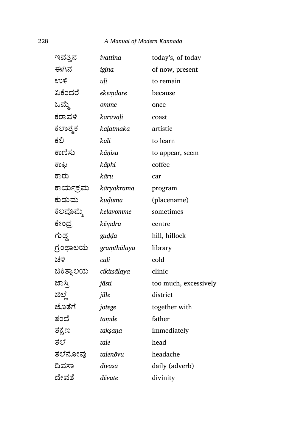### 228 *A Manual of Modern Kannada*

| ಇವತ್ತಿನ    | ivattina    | today's, of today     |
|------------|-------------|-----------------------|
| ಈಗಿನ       | igina       | of now, present       |
| ಉಳಿ        | uli         | to remain             |
| ಏಕೆಂದರೆ    | ēkemdare    | because               |
| ಒಮ್ಮೆ      | omme        | once                  |
| ಕರಾವಳಿ     | karāvaļi    | coast                 |
| ಕಲಾತ್ಮಕ    | kaḷatmaka   | artistic              |
| ಕಲಿ        | kali        | to learn              |
| ಕಾಣಿಸು     | kāņisu      | to appear, seem       |
| ಕಾಫಿ       | kāphi       | coffee                |
| ಕಾರು       | kāru        | car                   |
| ಕಾರ್ಯಕ್ರಮ  | kāryakrama  | program               |
| ಕುಡುಮ      | kuduma      | (placename)           |
| ಕೆಲವೊಮ್ಮೆ  | kelavomme   | sometimes             |
| ಕೇಂದ್ರ     | kēmdra      | centre                |
| ಗುಡ್ಡ      | guḍḍa       | hill, hillock         |
| ಗ್ರಂಥಾಲಯ   | gramthālaya | library               |
| ಚಳಿ        | cali        | cold                  |
| ಚಿಕಿತ್ಸಾಲಯ | cikitsālaya | clinic                |
| ಜಾಸ್ತಿ     | jāsti       | too much, excessively |
| ಜಿಲ್ಲೆ     | jille       | district              |
| ಜೊತೆಗೆ     | jotege      | together with         |
| ತಂದೆ       | tamde       | father                |
| ತಕ್ಷಣ      | taksana     | immediately           |
| ತಲೆ        | tale        | head                  |
| ತಲೆನೋವು    | talenōvu    | headache              |
| ದಿವಸಾ      | divasā      | daily (adverb)        |
| ದೇವತೆ      | dēvate      | divinity              |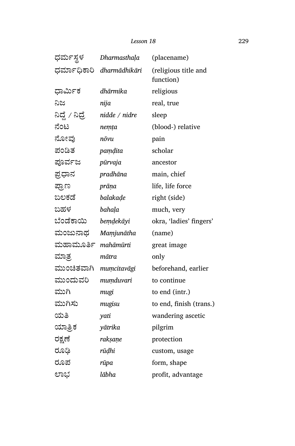#### *Lesson 18* 229

| ಧರ್ಮಸ್ಥಳ        | Dharmasthala              | (placename)                       |
|-----------------|---------------------------|-----------------------------------|
|                 | ಧರ್ಮಾಧಿಕಾರಿ dharmādhikāri | (religious title and<br>function) |
| ಧಾರ್ಮಿಕ         | dhārmika                  | religious                         |
| ನಿಜ             | nija                      | real, true                        |
| ನಿದ್ದೆ / ನಿದ್ರೆ | nidde / nidre             | sleep                             |
| ನೆಂಟ            | nemța                     | (blood-) relative                 |
| ನೋವು            | nōvu                      | pain                              |
| ಪಂಡಿತ           | pamdita                   | scholar                           |
| ಪೂರ್ವಜ          | pūrvaja                   | ancestor                          |
| ಪ್ರಧಾನ          | pradhāna                  | main, chief                       |
| ಪ್ರಾಣ           | prāņa                     | life, life force                  |
| ಬಲಕಡೆ           | balakade                  | right (side)                      |
| ಬಹಳ             | bahala                    | much, very                        |
| ಬೆಂಡೆಕಾಯಿ       | bemdekāyi                 | okra, 'ladies' fingers'           |
| ಮಂಜುನಾಥ         | Mamjunātha                | (name)                            |
| ಮಹಾಮೂರ್ತಿ       | mahāmūrti                 | great image                       |
| ಮಾತ್ರ           | mātra                     | only                              |
| ಮುಂಚಿತವಾಗಿ      | mumcitavāgi               | beforehand, earlier               |
| ಮುಂದುವರಿ        | mumduvari                 | to continue                       |
| ಮುಗಿ            | mugi                      | to end (intr.)                    |
| ಮುಗಿಸು          | mugisu                    | to end, finish (trans.)           |
| ಯತಿ             | yati                      | wandering ascetic                 |
| ಯಾತ್ರಿಕ         | yātrika                   | pilgrim                           |
| ರಕ್ಷಣೆ          | rakṣaṇe                   | protection                        |
| ರೂಢಿ            | rūḍhi                     | custom, usage                     |
| ರೂಪ             | rūpa                      | form, shape                       |
| ಲಾಭ             | lābha                     | profit, advantage                 |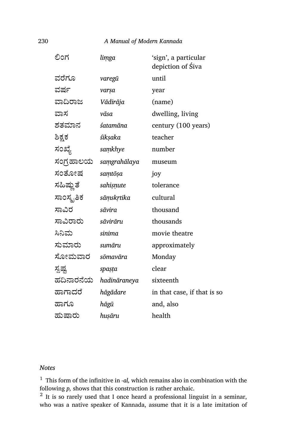### 230 *A Manual of Modern Kannada*

| ಲಿಂಗ       | limga        | 'sign', a particular<br>depiction of Śiva |
|------------|--------------|-------------------------------------------|
| ವರೆಗೂ      | varegū       | until                                     |
| ವರ್ಷ       | varşa        | year                                      |
| ವಾದಿರಾಜ    | Vādirāja     | (name)                                    |
| ವಾಸ        | vāsa         | dwelling, living                          |
| ಶತಮಾನ      | śatamāna     | century (100 years)                       |
| ಶಿಕ್ಷಕ     | śiksaka      | teacher                                   |
| ಸಂಖ್ಯೆ     | samkhye      | number                                    |
| ಸಂಗ್ರಹಾಲಯ  | saṃgrahālaya | museum                                    |
| ಸಂತೋಷ      | samtōṣa      | joy                                       |
| ಸಹಿಷ್ಣುತೆ  | sahisnute    | tolerance                                 |
| ಸಾಂಸ್ಕೃತಿಕ | sāṃskṛtika   | cultural                                  |
| ಸಾವಿರ      | sāvira       | thousand                                  |
| ಸಾವಿರಾರು   | sāvirāru     | thousands                                 |
| ಸಿನಿಮ      | sinima       | movie theatre                             |
| ಸುಮಾರು     | sumāru       | approximately                             |
| ಸೋಮವಾರ     | sōmavāra     | Monday                                    |
| ಸ್ಪಷ್ಟ     | spaṣṭa       | clear                                     |
| ಹದಿನಾರನೆಯ  | hadināraneya | sixteenth                                 |
| ಹಾಗಾದರೆ    | hāgādare     | in that case, if that is so               |
| ಹಾಗೂ       | hāgū         | and, also                                 |
| ಹುಷಾರು     | huşāru       | health                                    |
|            |              |                                           |

### *Notes*

 $^{\rm 1}$  This form of the infinitive in *-al*, which remains also in combination with the following *p,* shows that this construction is rather archaic.

 $2$  It is so rarely used that I once heard a professional linguist in a seminar, who was a native speaker of Kannada, assume that it is a late imitation of